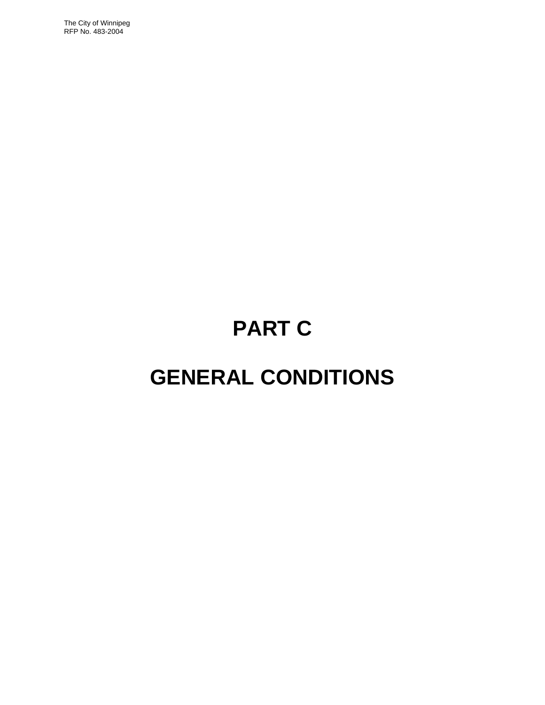The City of Winnipeg RFP No. 483-2004

# **PART C**

## **GENERAL CONDITIONS**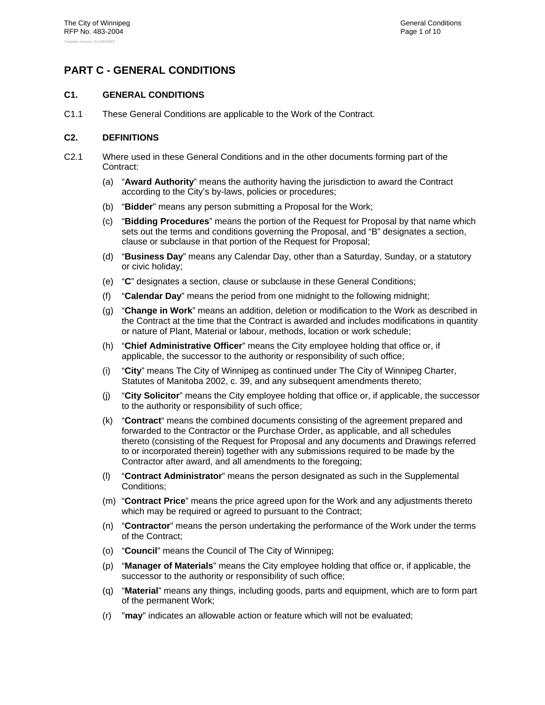## **PART C - GENERAL CONDITIONS**

## **C1. GENERAL CONDITIONS**

C1.1 These General Conditions are applicable to the Work of the Contract.

## **C2. DEFINITIONS**

- C2.1 Where used in these General Conditions and in the other documents forming part of the Contract:
	- (a) "**Award Authority**" means the authority having the jurisdiction to award the Contract according to the City's by-laws, policies or procedures;
	- (b) "**Bidder**" means any person submitting a Proposal for the Work;
	- (c) "**Bidding Procedures**" means the portion of the Request for Proposal by that name which sets out the terms and conditions governing the Proposal, and "B" designates a section, clause or subclause in that portion of the Request for Proposal;
	- (d) "**Business Day**" means any Calendar Day, other than a Saturday, Sunday, or a statutory or civic holiday;
	- (e) "**C**" designates a section, clause or subclause in these General Conditions;
	- (f) "**Calendar Day**" means the period from one midnight to the following midnight;
	- (g) "**Change in Work**" means an addition, deletion or modification to the Work as described in the Contract at the time that the Contract is awarded and includes modifications in quantity or nature of Plant, Material or labour, methods, location or work schedule;
	- (h) "**Chief Administrative Officer**" means the City employee holding that office or, if applicable, the successor to the authority or responsibility of such office;
	- (i) "**City**" means The City of Winnipeg as continued under The City of Winnipeg Charter, Statutes of Manitoba 2002, c. 39, and any subsequent amendments thereto;
	- (j) "**City Solicitor**" means the City employee holding that office or, if applicable, the successor to the authority or responsibility of such office;
	- (k) "**Contract**" means the combined documents consisting of the agreement prepared and forwarded to the Contractor or the Purchase Order, as applicable, and all schedules thereto (consisting of the Request for Proposal and any documents and Drawings referred to or incorporated therein) together with any submissions required to be made by the Contractor after award, and all amendments to the foregoing;
	- (l) "**Contract Administrator**" means the person designated as such in the Supplemental Conditions;
	- (m) "**Contract Price**" means the price agreed upon for the Work and any adjustments thereto which may be required or agreed to pursuant to the Contract;
	- (n) "**Contractor**" means the person undertaking the performance of the Work under the terms of the Contract;
	- (o) "**Council**" means the Council of The City of Winnipeg;
	- (p) "**Manager of Materials**" means the City employee holding that office or, if applicable, the successor to the authority or responsibility of such office;
	- (q) "**Material**" means any things, including goods, parts and equipment, which are to form part of the permanent Work;
	- (r) "**may**" indicates an allowable action or feature which will not be evaluated;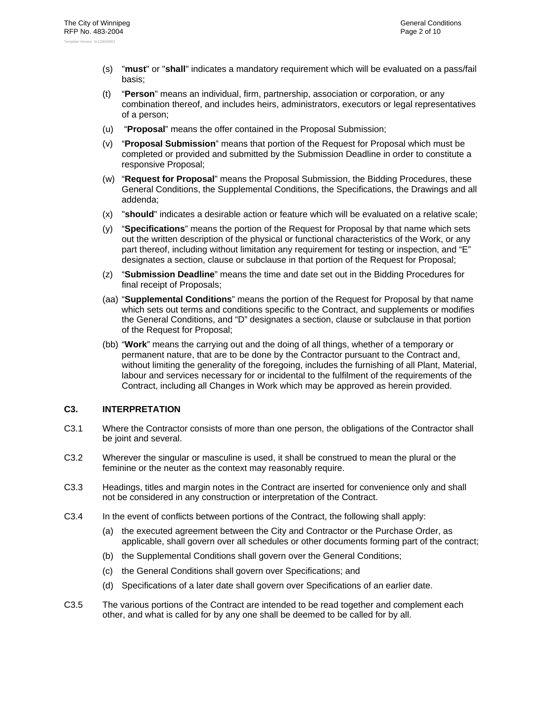- (s) "**must**" or "**shall**" indicates a mandatory requirement which will be evaluated on a pass/fail basis;
- (t) "**Person**" means an individual, firm, partnership, association or corporation, or any combination thereof, and includes heirs, administrators, executors or legal representatives of a person;
- (u) "**Proposal**" means the offer contained in the Proposal Submission;
- (v) "**Proposal Submission**" means that portion of the Request for Proposal which must be completed or provided and submitted by the Submission Deadline in order to constitute a responsive Proposal;
- (w) "**Request for Proposal**" means the Proposal Submission, the Bidding Procedures, these General Conditions, the Supplemental Conditions, the Specifications, the Drawings and all addenda;
- (x) "**should**" indicates a desirable action or feature which will be evaluated on a relative scale;
- (y) "**Specifications**" means the portion of the Request for Proposal by that name which sets out the written description of the physical or functional characteristics of the Work, or any part thereof, including without limitation any requirement for testing or inspection, and "E" designates a section, clause or subclause in that portion of the Request for Proposal;
- (z) "**Submission Deadline**" means the time and date set out in the Bidding Procedures for final receipt of Proposals;
- (aa) "**Supplemental Conditions**" means the portion of the Request for Proposal by that name which sets out terms and conditions specific to the Contract, and supplements or modifies the General Conditions, and "D" designates a section, clause or subclause in that portion of the Request for Proposal;
- (bb) "**Work**" means the carrying out and the doing of all things, whether of a temporary or permanent nature, that are to be done by the Contractor pursuant to the Contract and, without limiting the generality of the foregoing, includes the furnishing of all Plant, Material, labour and services necessary for or incidental to the fulfilment of the requirements of the Contract, including all Changes in Work which may be approved as herein provided.

## **C3. INTERPRETATION**

- C3.1 Where the Contractor consists of more than one person, the obligations of the Contractor shall be joint and several.
- C3.2 Wherever the singular or masculine is used, it shall be construed to mean the plural or the feminine or the neuter as the context may reasonably require.
- C3.3 Headings, titles and margin notes in the Contract are inserted for convenience only and shall not be considered in any construction or interpretation of the Contract.
- C3.4 In the event of conflicts between portions of the Contract, the following shall apply:
	- (a) the executed agreement between the City and Contractor or the Purchase Order, as applicable, shall govern over all schedules or other documents forming part of the contract;
	- (b) the Supplemental Conditions shall govern over the General Conditions;
	- (c) the General Conditions shall govern over Specifications; and
	- (d) Specifications of a later date shall govern over Specifications of an earlier date.
- C3.5 The various portions of the Contract are intended to be read together and complement each other, and what is called for by any one shall be deemed to be called for by all.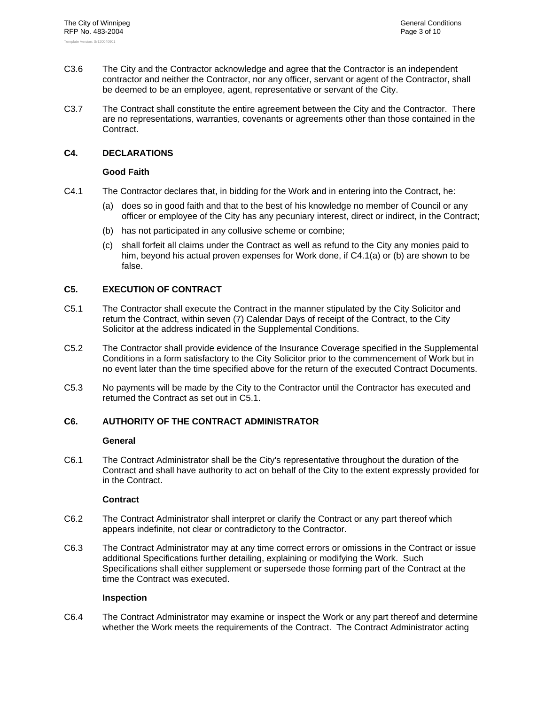- C3.6 The City and the Contractor acknowledge and agree that the Contractor is an independent contractor and neither the Contractor, nor any officer, servant or agent of the Contractor, shall be deemed to be an employee, agent, representative or servant of the City.
- C3.7 The Contract shall constitute the entire agreement between the City and the Contractor. There are no representations, warranties, covenants or agreements other than those contained in the Contract.

## **C4. DECLARATIONS**

#### **Good Faith**

- C4.1 The Contractor declares that, in bidding for the Work and in entering into the Contract, he:
	- (a) does so in good faith and that to the best of his knowledge no member of Council or any officer or employee of the City has any pecuniary interest, direct or indirect, in the Contract;
	- (b) has not participated in any collusive scheme or combine;
	- (c) shall forfeit all claims under the Contract as well as refund to the City any monies paid to him, beyond his actual proven expenses for Work done, if C4.1(a) or (b) are shown to be false.

## **C5. EXECUTION OF CONTRACT**

- C5.1 The Contractor shall execute the Contract in the manner stipulated by the City Solicitor and return the Contract, within seven (7) Calendar Days of receipt of the Contract, to the City Solicitor at the address indicated in the Supplemental Conditions.
- C5.2 The Contractor shall provide evidence of the Insurance Coverage specified in the Supplemental Conditions in a form satisfactory to the City Solicitor prior to the commencement of Work but in no event later than the time specified above for the return of the executed Contract Documents.
- C5.3 No payments will be made by the City to the Contractor until the Contractor has executed and returned the Contract as set out in C5.1.

## **C6. AUTHORITY OF THE CONTRACT ADMINISTRATOR**

#### **General**

C6.1 The Contract Administrator shall be the City's representative throughout the duration of the Contract and shall have authority to act on behalf of the City to the extent expressly provided for in the Contract.

## **Contract**

- C6.2 The Contract Administrator shall interpret or clarify the Contract or any part thereof which appears indefinite, not clear or contradictory to the Contractor.
- C6.3 The Contract Administrator may at any time correct errors or omissions in the Contract or issue additional Specifications further detailing, explaining or modifying the Work. Such Specifications shall either supplement or supersede those forming part of the Contract at the time the Contract was executed.

#### **Inspection**

C6.4 The Contract Administrator may examine or inspect the Work or any part thereof and determine whether the Work meets the requirements of the Contract. The Contract Administrator acting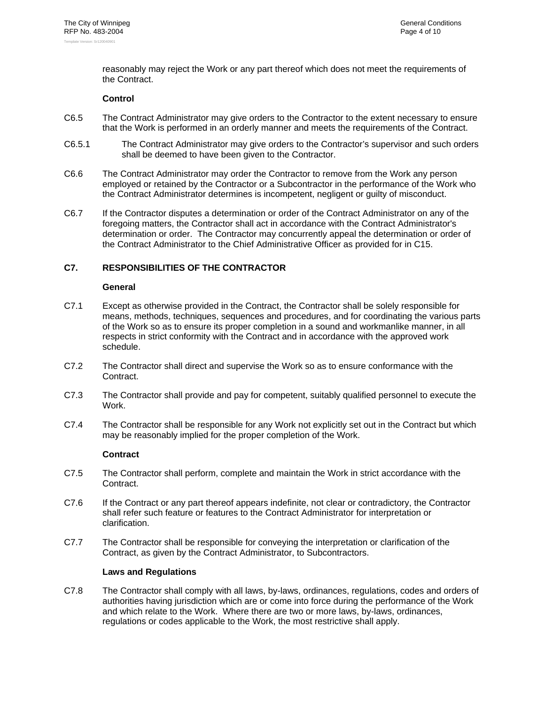reasonably may reject the Work or any part thereof which does not meet the requirements of the Contract.

#### **Control**

- C6.5 The Contract Administrator may give orders to the Contractor to the extent necessary to ensure that the Work is performed in an orderly manner and meets the requirements of the Contract.
- C6.5.1 The Contract Administrator may give orders to the Contractor's supervisor and such orders shall be deemed to have been given to the Contractor.
- C6.6 The Contract Administrator may order the Contractor to remove from the Work any person employed or retained by the Contractor or a Subcontractor in the performance of the Work who the Contract Administrator determines is incompetent, negligent or guilty of misconduct.
- C6.7 If the Contractor disputes a determination or order of the Contract Administrator on any of the foregoing matters, the Contractor shall act in accordance with the Contract Administrator's determination or order. The Contractor may concurrently appeal the determination or order of the Contract Administrator to the Chief Administrative Officer as provided for in C15.

#### **C7. RESPONSIBILITIES OF THE CONTRACTOR**

#### **General**

- C7.1 Except as otherwise provided in the Contract, the Contractor shall be solely responsible for means, methods, techniques, sequences and procedures, and for coordinating the various parts of the Work so as to ensure its proper completion in a sound and workmanlike manner, in all respects in strict conformity with the Contract and in accordance with the approved work schedule.
- C7.2 The Contractor shall direct and supervise the Work so as to ensure conformance with the Contract.
- C7.3 The Contractor shall provide and pay for competent, suitably qualified personnel to execute the Work.
- C7.4 The Contractor shall be responsible for any Work not explicitly set out in the Contract but which may be reasonably implied for the proper completion of the Work.

#### **Contract**

- C7.5 The Contractor shall perform, complete and maintain the Work in strict accordance with the Contract.
- C7.6 If the Contract or any part thereof appears indefinite, not clear or contradictory, the Contractor shall refer such feature or features to the Contract Administrator for interpretation or clarification.
- C7.7 The Contractor shall be responsible for conveying the interpretation or clarification of the Contract, as given by the Contract Administrator, to Subcontractors.

#### **Laws and Regulations**

C7.8 The Contractor shall comply with all laws, by-laws, ordinances, regulations, codes and orders of authorities having jurisdiction which are or come into force during the performance of the Work and which relate to the Work. Where there are two or more laws, by-laws, ordinances, regulations or codes applicable to the Work, the most restrictive shall apply.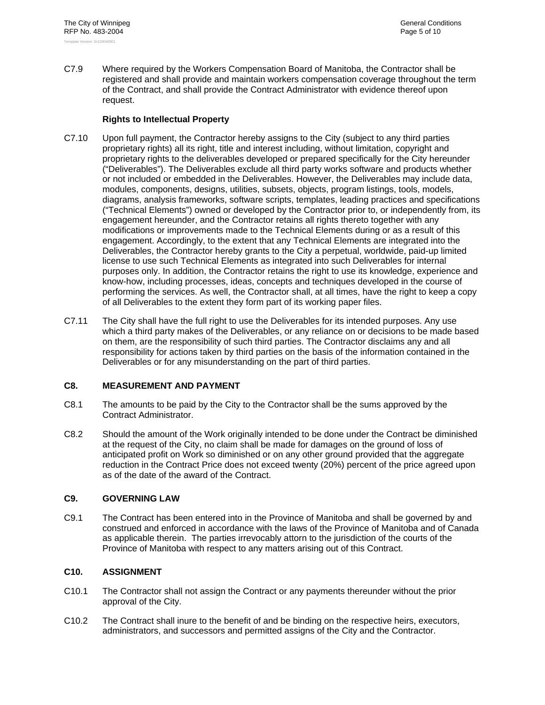C7.9 Where required by the Workers Compensation Board of Manitoba, the Contractor shall be registered and shall provide and maintain workers compensation coverage throughout the term of the Contract, and shall provide the Contract Administrator with evidence thereof upon request.

## **Rights to Intellectual Property**

- C7.10 Upon full payment, the Contractor hereby assigns to the City (subject to any third parties proprietary rights) all its right, title and interest including, without limitation, copyright and proprietary rights to the deliverables developed or prepared specifically for the City hereunder ("Deliverables"). The Deliverables exclude all third party works software and products whether or not included or embedded in the Deliverables. However, the Deliverables may include data, modules, components, designs, utilities, subsets, objects, program listings, tools, models, diagrams, analysis frameworks, software scripts, templates, leading practices and specifications ("Technical Elements") owned or developed by the Contractor prior to, or independently from, its engagement hereunder, and the Contractor retains all rights thereto together with any modifications or improvements made to the Technical Elements during or as a result of this engagement. Accordingly, to the extent that any Technical Elements are integrated into the Deliverables, the Contractor hereby grants to the City a perpetual, worldwide, paid-up limited license to use such Technical Elements as integrated into such Deliverables for internal purposes only. In addition, the Contractor retains the right to use its knowledge, experience and know-how, including processes, ideas, concepts and techniques developed in the course of performing the services. As well, the Contractor shall, at all times, have the right to keep a copy of all Deliverables to the extent they form part of its working paper files.
- C7.11 The City shall have the full right to use the Deliverables for its intended purposes. Any use which a third party makes of the Deliverables, or any reliance on or decisions to be made based on them, are the responsibility of such third parties. The Contractor disclaims any and all responsibility for actions taken by third parties on the basis of the information contained in the Deliverables or for any misunderstanding on the part of third parties.

## **C8. MEASUREMENT AND PAYMENT**

- C8.1 The amounts to be paid by the City to the Contractor shall be the sums approved by the Contract Administrator.
- C8.2 Should the amount of the Work originally intended to be done under the Contract be diminished at the request of the City, no claim shall be made for damages on the ground of loss of anticipated profit on Work so diminished or on any other ground provided that the aggregate reduction in the Contract Price does not exceed twenty (20%) percent of the price agreed upon as of the date of the award of the Contract.

## **C9. GOVERNING LAW**

C9.1 The Contract has been entered into in the Province of Manitoba and shall be governed by and construed and enforced in accordance with the laws of the Province of Manitoba and of Canada as applicable therein. The parties irrevocably attorn to the jurisdiction of the courts of the Province of Manitoba with respect to any matters arising out of this Contract.

## **C10. ASSIGNMENT**

- C10.1 The Contractor shall not assign the Contract or any payments thereunder without the prior approval of the City.
- C10.2 The Contract shall inure to the benefit of and be binding on the respective heirs, executors, administrators, and successors and permitted assigns of the City and the Contractor.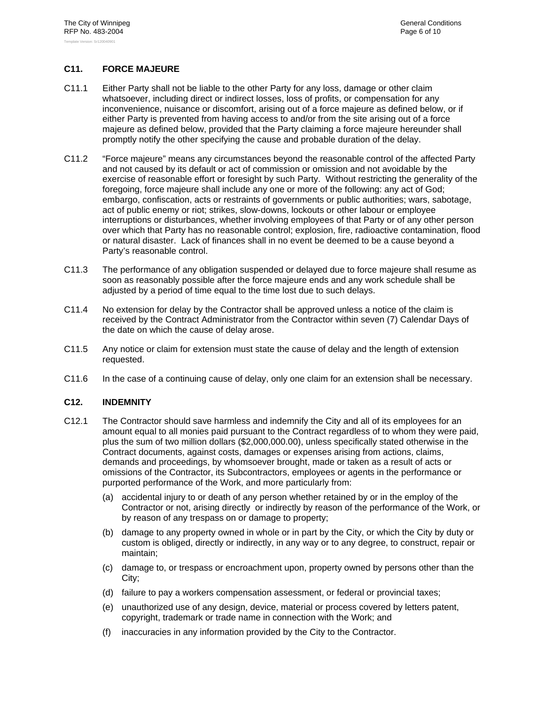## **C11. FORCE MAJEURE**

- C11.1 Either Party shall not be liable to the other Party for any loss, damage or other claim whatsoever, including direct or indirect losses, loss of profits, or compensation for any inconvenience, nuisance or discomfort, arising out of a force majeure as defined below, or if either Party is prevented from having access to and/or from the site arising out of a force majeure as defined below, provided that the Party claiming a force majeure hereunder shall promptly notify the other specifying the cause and probable duration of the delay.
- C11.2 "Force majeure" means any circumstances beyond the reasonable control of the affected Party and not caused by its default or act of commission or omission and not avoidable by the exercise of reasonable effort or foresight by such Party. Without restricting the generality of the foregoing, force majeure shall include any one or more of the following: any act of God; embargo, confiscation, acts or restraints of governments or public authorities; wars, sabotage, act of public enemy or riot; strikes, slow-downs, lockouts or other labour or employee interruptions or disturbances, whether involving employees of that Party or of any other person over which that Party has no reasonable control; explosion, fire, radioactive contamination, flood or natural disaster. Lack of finances shall in no event be deemed to be a cause beyond a Party's reasonable control.
- C11.3 The performance of any obligation suspended or delayed due to force majeure shall resume as soon as reasonably possible after the force majeure ends and any work schedule shall be adjusted by a period of time equal to the time lost due to such delays.
- C11.4 No extension for delay by the Contractor shall be approved unless a notice of the claim is received by the Contract Administrator from the Contractor within seven (7) Calendar Days of the date on which the cause of delay arose.
- C11.5 Any notice or claim for extension must state the cause of delay and the length of extension requested.
- C11.6 In the case of a continuing cause of delay, only one claim for an extension shall be necessary.

#### **C12. INDEMNITY**

- C12.1 The Contractor should save harmless and indemnify the City and all of its employees for an amount equal to all monies paid pursuant to the Contract regardless of to whom they were paid, plus the sum of two million dollars (\$2,000,000.00), unless specifically stated otherwise in the Contract documents, against costs, damages or expenses arising from actions, claims, demands and proceedings, by whomsoever brought, made or taken as a result of acts or omissions of the Contractor, its Subcontractors, employees or agents in the performance or purported performance of the Work, and more particularly from:
	- (a) accidental injury to or death of any person whether retained by or in the employ of the Contractor or not, arising directly or indirectly by reason of the performance of the Work, or by reason of any trespass on or damage to property;
	- (b) damage to any property owned in whole or in part by the City, or which the City by duty or custom is obliged, directly or indirectly, in any way or to any degree, to construct, repair or maintain;
	- (c) damage to, or trespass or encroachment upon, property owned by persons other than the City;
	- (d) failure to pay a workers compensation assessment, or federal or provincial taxes;
	- (e) unauthorized use of any design, device, material or process covered by letters patent, copyright, trademark or trade name in connection with the Work; and
	- (f) inaccuracies in any information provided by the City to the Contractor.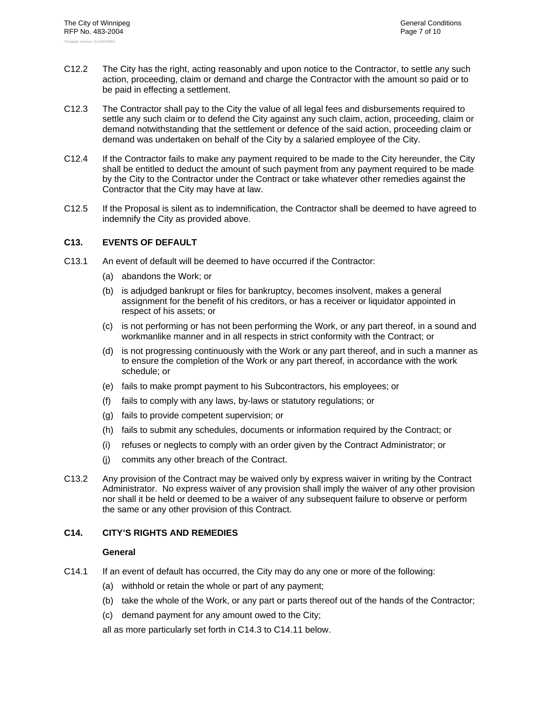- C12.2 The City has the right, acting reasonably and upon notice to the Contractor, to settle any such action, proceeding, claim or demand and charge the Contractor with the amount so paid or to be paid in effecting a settlement.
- C12.3 The Contractor shall pay to the City the value of all legal fees and disbursements required to settle any such claim or to defend the City against any such claim, action, proceeding, claim or demand notwithstanding that the settlement or defence of the said action, proceeding claim or demand was undertaken on behalf of the City by a salaried employee of the City.
- C12.4 If the Contractor fails to make any payment required to be made to the City hereunder, the City shall be entitled to deduct the amount of such payment from any payment required to be made by the City to the Contractor under the Contract or take whatever other remedies against the Contractor that the City may have at law.
- C12.5 If the Proposal is silent as to indemnification, the Contractor shall be deemed to have agreed to indemnify the City as provided above.

## **C13. EVENTS OF DEFAULT**

- C13.1 An event of default will be deemed to have occurred if the Contractor:
	- (a) abandons the Work; or
	- (b) is adjudged bankrupt or files for bankruptcy, becomes insolvent, makes a general assignment for the benefit of his creditors, or has a receiver or liquidator appointed in respect of his assets; or
	- (c) is not performing or has not been performing the Work, or any part thereof, in a sound and workmanlike manner and in all respects in strict conformity with the Contract; or
	- (d) is not progressing continuously with the Work or any part thereof, and in such a manner as to ensure the completion of the Work or any part thereof, in accordance with the work schedule; or
	- (e) fails to make prompt payment to his Subcontractors, his employees; or
	- (f) fails to comply with any laws, by-laws or statutory regulations; or
	- (g) fails to provide competent supervision; or
	- (h) fails to submit any schedules, documents or information required by the Contract; or
	- (i) refuses or neglects to comply with an order given by the Contract Administrator; or
	- (j) commits any other breach of the Contract.
- C13.2 Any provision of the Contract may be waived only by express waiver in writing by the Contract Administrator. No express waiver of any provision shall imply the waiver of any other provision nor shall it be held or deemed to be a waiver of any subsequent failure to observe or perform the same or any other provision of this Contract.

#### **C14. CITY'S RIGHTS AND REMEDIES**

## **General**

- C14.1 If an event of default has occurred, the City may do any one or more of the following:
	- (a) withhold or retain the whole or part of any payment;
	- (b) take the whole of the Work, or any part or parts thereof out of the hands of the Contractor;
	- (c) demand payment for any amount owed to the City;

all as more particularly set forth in C14.3 to C14.11 below.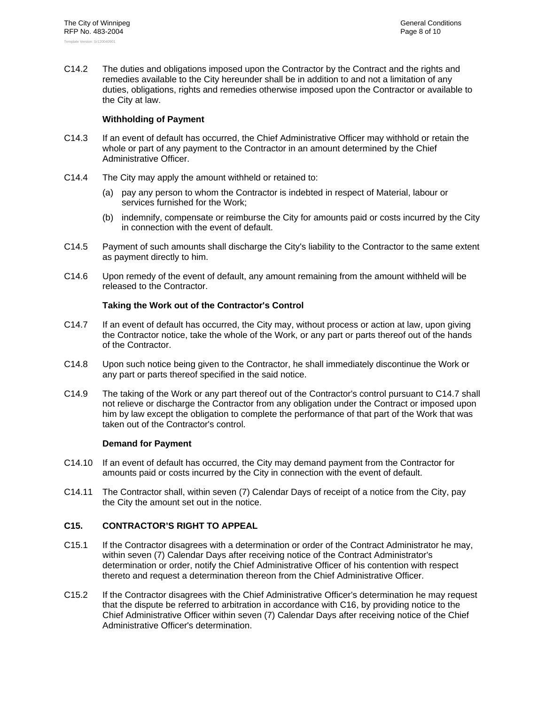C14.2 The duties and obligations imposed upon the Contractor by the Contract and the rights and remedies available to the City hereunder shall be in addition to and not a limitation of any duties, obligations, rights and remedies otherwise imposed upon the Contractor or available to the City at law.

#### **Withholding of Payment**

- C14.3 If an event of default has occurred, the Chief Administrative Officer may withhold or retain the whole or part of any payment to the Contractor in an amount determined by the Chief Administrative Officer.
- C14.4 The City may apply the amount withheld or retained to:
	- (a) pay any person to whom the Contractor is indebted in respect of Material, labour or services furnished for the Work;
	- (b) indemnify, compensate or reimburse the City for amounts paid or costs incurred by the City in connection with the event of default.
- C14.5 Payment of such amounts shall discharge the City's liability to the Contractor to the same extent as payment directly to him.
- C14.6 Upon remedy of the event of default, any amount remaining from the amount withheld will be released to the Contractor.

## **Taking the Work out of the Contractor's Control**

- C14.7 If an event of default has occurred, the City may, without process or action at law, upon giving the Contractor notice, take the whole of the Work, or any part or parts thereof out of the hands of the Contractor.
- C14.8 Upon such notice being given to the Contractor, he shall immediately discontinue the Work or any part or parts thereof specified in the said notice.
- C14.9 The taking of the Work or any part thereof out of the Contractor's control pursuant to C14.7 shall not relieve or discharge the Contractor from any obligation under the Contract or imposed upon him by law except the obligation to complete the performance of that part of the Work that was taken out of the Contractor's control.

#### **Demand for Payment**

- C14.10 If an event of default has occurred, the City may demand payment from the Contractor for amounts paid or costs incurred by the City in connection with the event of default.
- C14.11 The Contractor shall, within seven (7) Calendar Days of receipt of a notice from the City, pay the City the amount set out in the notice.

## **C15. CONTRACTOR'S RIGHT TO APPEAL**

- C15.1 If the Contractor disagrees with a determination or order of the Contract Administrator he may, within seven (7) Calendar Days after receiving notice of the Contract Administrator's determination or order, notify the Chief Administrative Officer of his contention with respect thereto and request a determination thereon from the Chief Administrative Officer.
- C15.2 If the Contractor disagrees with the Chief Administrative Officer's determination he may request that the dispute be referred to arbitration in accordance with C16, by providing notice to the Chief Administrative Officer within seven (7) Calendar Days after receiving notice of the Chief Administrative Officer's determination.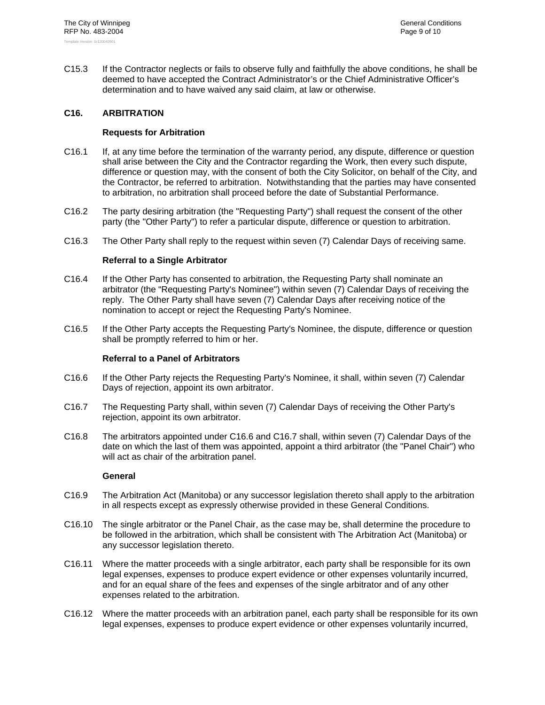C15.3 If the Contractor neglects or fails to observe fully and faithfully the above conditions, he shall be deemed to have accepted the Contract Administrator's or the Chief Administrative Officer's determination and to have waived any said claim, at law or otherwise.

## **C16. ARBITRATION**

#### **Requests for Arbitration**

- C16.1 If, at any time before the termination of the warranty period, any dispute, difference or question shall arise between the City and the Contractor regarding the Work, then every such dispute, difference or question may, with the consent of both the City Solicitor, on behalf of the City, and the Contractor, be referred to arbitration. Notwithstanding that the parties may have consented to arbitration, no arbitration shall proceed before the date of Substantial Performance.
- C16.2 The party desiring arbitration (the "Requesting Party") shall request the consent of the other party (the "Other Party") to refer a particular dispute, difference or question to arbitration.
- C16.3 The Other Party shall reply to the request within seven (7) Calendar Days of receiving same.

#### **Referral to a Single Arbitrator**

- C16.4 If the Other Party has consented to arbitration, the Requesting Party shall nominate an arbitrator (the "Requesting Party's Nominee") within seven (7) Calendar Days of receiving the reply. The Other Party shall have seven (7) Calendar Days after receiving notice of the nomination to accept or reject the Requesting Party's Nominee.
- C16.5 If the Other Party accepts the Requesting Party's Nominee, the dispute, difference or question shall be promptly referred to him or her.

#### **Referral to a Panel of Arbitrators**

- C16.6 If the Other Party rejects the Requesting Party's Nominee, it shall, within seven (7) Calendar Days of rejection, appoint its own arbitrator.
- C16.7 The Requesting Party shall, within seven (7) Calendar Days of receiving the Other Party's rejection, appoint its own arbitrator.
- C16.8 The arbitrators appointed under C16.6 and C16.7 shall, within seven (7) Calendar Days of the date on which the last of them was appointed, appoint a third arbitrator (the "Panel Chair") who will act as chair of the arbitration panel.

#### **General**

- C16.9 The Arbitration Act (Manitoba) or any successor legislation thereto shall apply to the arbitration in all respects except as expressly otherwise provided in these General Conditions.
- C16.10 The single arbitrator or the Panel Chair, as the case may be, shall determine the procedure to be followed in the arbitration, which shall be consistent with The Arbitration Act (Manitoba) or any successor legislation thereto.
- C16.11 Where the matter proceeds with a single arbitrator, each party shall be responsible for its own legal expenses, expenses to produce expert evidence or other expenses voluntarily incurred, and for an equal share of the fees and expenses of the single arbitrator and of any other expenses related to the arbitration.
- C16.12 Where the matter proceeds with an arbitration panel, each party shall be responsible for its own legal expenses, expenses to produce expert evidence or other expenses voluntarily incurred,